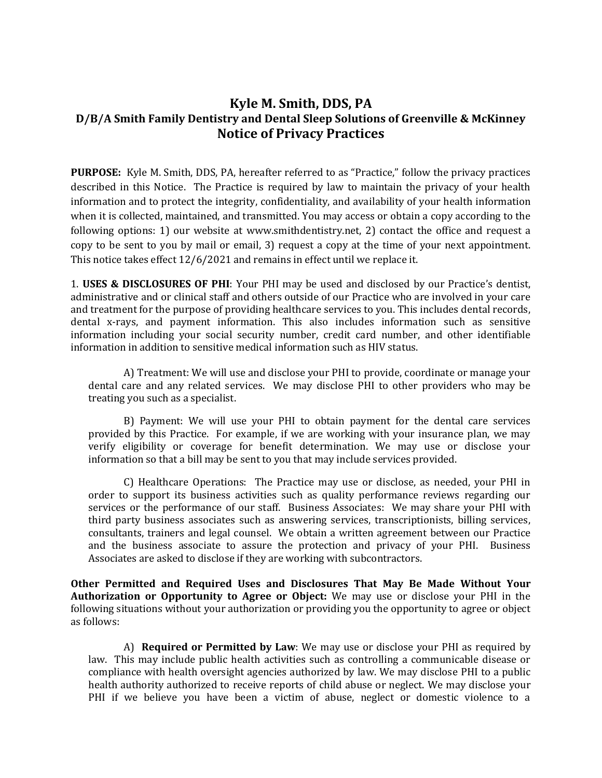# **Kyle M. Smith, DDS, PA D/B/A Smith Family Dentistry and Dental Sleep Solutions of Greenville & McKinney Notice of Privacy Practices**

**PURPOSE:** Kyle M. Smith, DDS, PA, hereafter referred to as "Practice," follow the privacy practices described in this Notice. The Practice is required by law to maintain the privacy of your health information and to protect the integrity, confidentiality, and availability of your health information when it is collected, maintained, and transmitted. You may access or obtain a copy according to the following options: 1) our website at www.smithdentistry.net, 2) contact the office and request a copy to be sent to you by mail or email, 3) request a copy at the time of your next appointment. This notice takes effect 12/6/2021 and remains in effect until we replace it.

1. **USES & DISCLOSURES OF PHI**: Your PHI may be used and disclosed by our Practice's dentist, administrative and or clinical staff and others outside of our Practice who are involved in your care and treatment for the purpose of providing healthcare services to you. This includes dental records, dental x-rays, and payment information. This also includes information such as sensitive information including your social security number, credit card number, and other identifiable information in addition to sensitive medical information such as HIV status.

A) Treatment: We will use and disclose your PHI to provide, coordinate or manage your dental care and any related services. We may disclose PHI to other providers who may be treating you such as a specialist.

B) Payment: We will use your PHI to obtain payment for the dental care services provided by this Practice. For example, if we are working with your insurance plan, we may verify eligibility or coverage for benefit determination. We may use or disclose your information so that a bill may be sent to you that may include services provided.

C) Healthcare Operations: The Practice may use or disclose, as needed, your PHI in order to support its business activities such as quality performance reviews regarding our services or the performance of our staff. Business Associates: We may share your PHI with third party business associates such as answering services, transcriptionists, billing services, consultants, trainers and legal counsel. We obtain a written agreement between our Practice and the business associate to assure the protection and privacy of your PHI. Business Associates are asked to disclose if they are working with subcontractors.

**Other Permitted and Required Uses and Disclosures That May Be Made Without Your Authorization or Opportunity to Agree or Object:** We may use or disclose your PHI in the following situations without your authorization or providing you the opportunity to agree or object as follows:

A) **Required or Permitted by Law**: We may use or disclose your PHI as required by law. This may include public health activities such as controlling a communicable disease or compliance with health oversight agencies authorized by law. We may disclose PHI to a public health authority authorized to receive reports of child abuse or neglect. We may disclose your PHI if we believe you have been a victim of abuse, neglect or domestic violence to a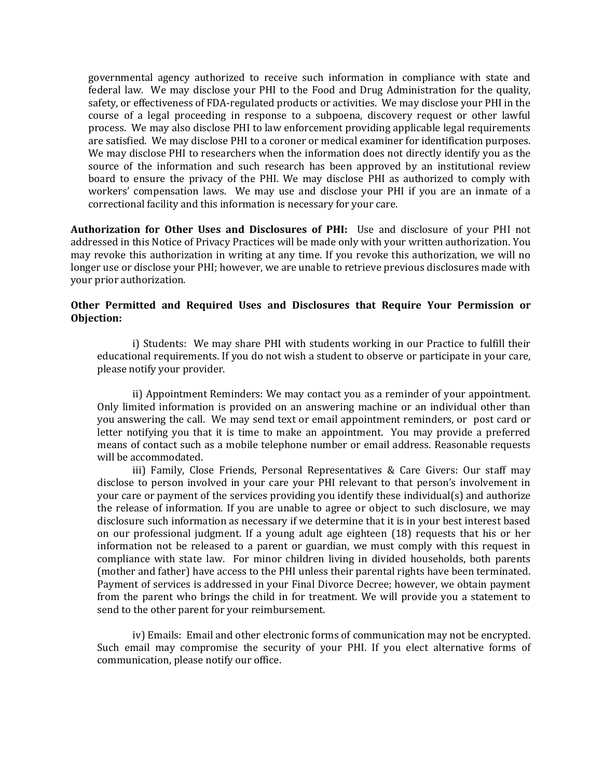governmental agency authorized to receive such information in compliance with state and federal law. We may disclose your PHI to the Food and Drug Administration for the quality, safety, or effectiveness of FDA-regulated products or activities. We may disclose your PHI in the course of a legal proceeding in response to a subpoena, discovery request or other lawful process. We may also disclose PHI to law enforcement providing applicable legal requirements are satisfied. We may disclose PHI to a coroner or medical examiner for identification purposes. We may disclose PHI to researchers when the information does not directly identify you as the source of the information and such research has been approved by an institutional review board to ensure the privacy of the PHI. We may disclose PHI as authorized to comply with workers' compensation laws. We may use and disclose your PHI if you are an inmate of a correctional facility and this information is necessary for your care.

**Authorization for Other Uses and Disclosures of PHI:** Use and disclosure of your PHI not addressed in this Notice of Privacy Practices will be made only with your written authorization. You may revoke this authorization in writing at any time. If you revoke this authorization, we will no longer use or disclose your PHI; however, we are unable to retrieve previous disclosures made with your prior authorization.

### **Other Permitted and Required Uses and Disclosures that Require Your Permission or Objection:**

i) Students: We may share PHI with students working in our Practice to fulfill their educational requirements. If you do not wish a student to observe or participate in your care, please notify your provider.

ii) Appointment Reminders: We may contact you as a reminder of your appointment. Only limited information is provided on an answering machine or an individual other than you answering the call. We may send text or email appointment reminders, or post card or letter notifying you that it is time to make an appointment. You may provide a preferred means of contact such as a mobile telephone number or email address. Reasonable requests will be accommodated.

iii) Family, Close Friends, Personal Representatives & Care Givers: Our staff may disclose to person involved in your care your PHI relevant to that person's involvement in your care or payment of the services providing you identify these individual(s) and authorize the release of information. If you are unable to agree or object to such disclosure, we may disclosure such information as necessary if we determine that it is in your best interest based on our professional judgment. If a young adult age eighteen (18) requests that his or her information not be released to a parent or guardian, we must comply with this request in compliance with state law. For minor children living in divided households, both parents (mother and father) have access to the PHI unless their parental rights have been terminated. Payment of services is addressed in your Final Divorce Decree; however, we obtain payment from the parent who brings the child in for treatment. We will provide you a statement to send to the other parent for your reimbursement.

iv) Emails: Email and other electronic forms of communication may not be encrypted. Such email may compromise the security of your PHI. If you elect alternative forms of communication, please notify our office.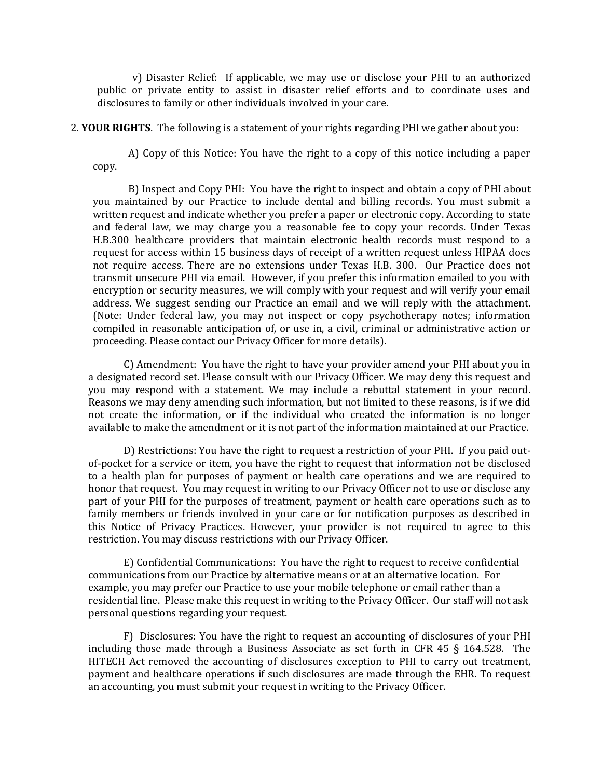v) Disaster Relief: If applicable, we may use or disclose your PHI to an authorized public or private entity to assist in disaster relief efforts and to coordinate uses and disclosures to family or other individuals involved in your care.

2. **YOUR RIGHTS**. The following is a statement of your rights regarding PHI we gather about you:

A) Copy of this Notice: You have the right to a copy of this notice including a paper copy.

B) Inspect and Copy PHI: You have the right to inspect and obtain a copy of PHI about you maintained by our Practice to include dental and billing records. You must submit a written request and indicate whether you prefer a paper or electronic copy. According to state and federal law, we may charge you a reasonable fee to copy your records. Under Texas H.B.300 healthcare providers that maintain electronic health records must respond to a request for access within 15 business days of receipt of a written request unless HIPAA does not require access. There are no extensions under Texas H.B. 300. Our Practice does not transmit unsecure PHI via email. However, if you prefer this information emailed to you with encryption or security measures, we will comply with your request and will verify your email address. We suggest sending our Practice an email and we will reply with the attachment. (Note: Under federal law, you may not inspect or copy psychotherapy notes; information compiled in reasonable anticipation of, or use in, a civil, criminal or administrative action or proceeding. Please contact our Privacy Officer for more details).

C) Amendment: You have the right to have your provider amend your PHI about you in a designated record set. Please consult with our Privacy Officer. We may deny this request and you may respond with a statement. We may include a rebuttal statement in your record. Reasons we may deny amending such information, but not limited to these reasons, is if we did not create the information, or if the individual who created the information is no longer available to make the amendment or it is not part of the information maintained at our Practice.

D) Restrictions: You have the right to request a restriction of your PHI. If you paid outof-pocket for a service or item, you have the right to request that information not be disclosed to a health plan for purposes of payment or health care operations and we are required to honor that request. You may request in writing to our Privacy Officer not to use or disclose any part of your PHI for the purposes of treatment, payment or health care operations such as to family members or friends involved in your care or for notification purposes as described in this Notice of Privacy Practices. However, your provider is not required to agree to this restriction. You may discuss restrictions with our Privacy Officer.

E) Confidential Communications: You have the right to request to receive confidential communications from our Practice by alternative means or at an alternative location. For example, you may prefer our Practice to use your mobile telephone or email rather than a residential line. Please make this request in writing to the Privacy Officer. Our staff will not ask personal questions regarding your request.

F) Disclosures: You have the right to request an accounting of disclosures of your PHI including those made through a Business Associate as set forth in CFR 45 § 164.528. The HITECH Act removed the accounting of disclosures exception to PHI to carry out treatment, payment and healthcare operations if such disclosures are made through the EHR. To request an accounting, you must submit your request in writing to the Privacy Officer.